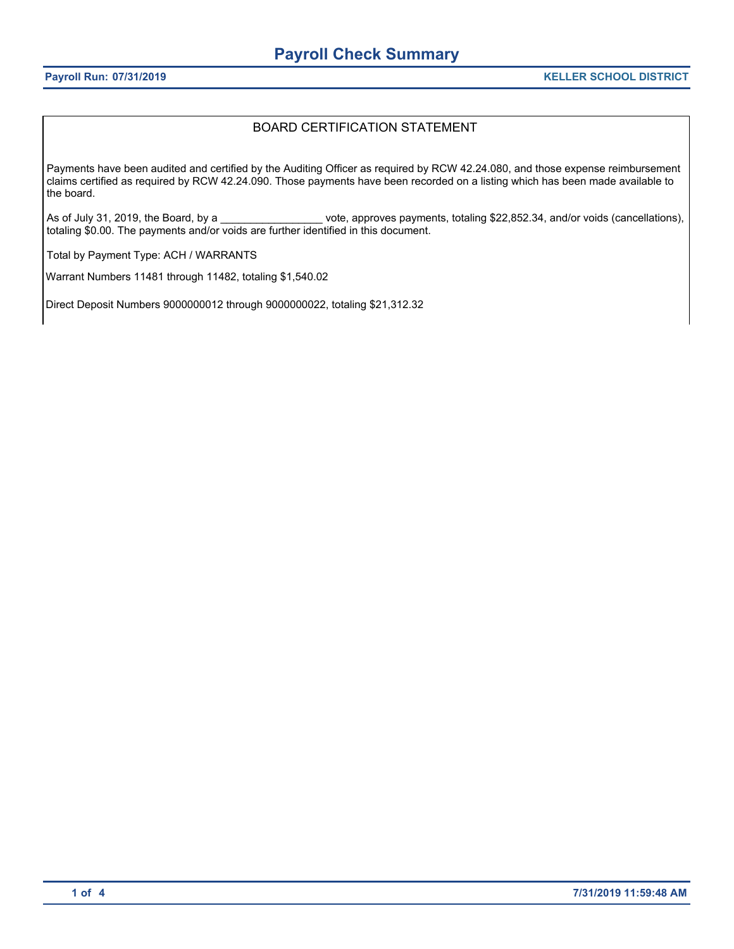#### BOARD CERTIFICATION STATEMENT

Payments have been audited and certified by the Auditing Officer as required by RCW 42.24.080, and those expense reimbursement claims certified as required by RCW 42.24.090. Those payments have been recorded on a listing which has been made available to the board.

As of July 31, 2019, the Board, by a \_\_\_\_\_\_\_\_\_\_\_\_\_\_\_\_\_\_\_vote, approves payments, totaling \$22,852.34, and/or voids (cancellations), totaling \$0.00. The payments and/or voids are further identified in this document.

Total by Payment Type: ACH / WARRANTS

Warrant Numbers 11481 through 11482, totaling \$1,540.02

Direct Deposit Numbers 9000000012 through 9000000022, totaling \$21,312.32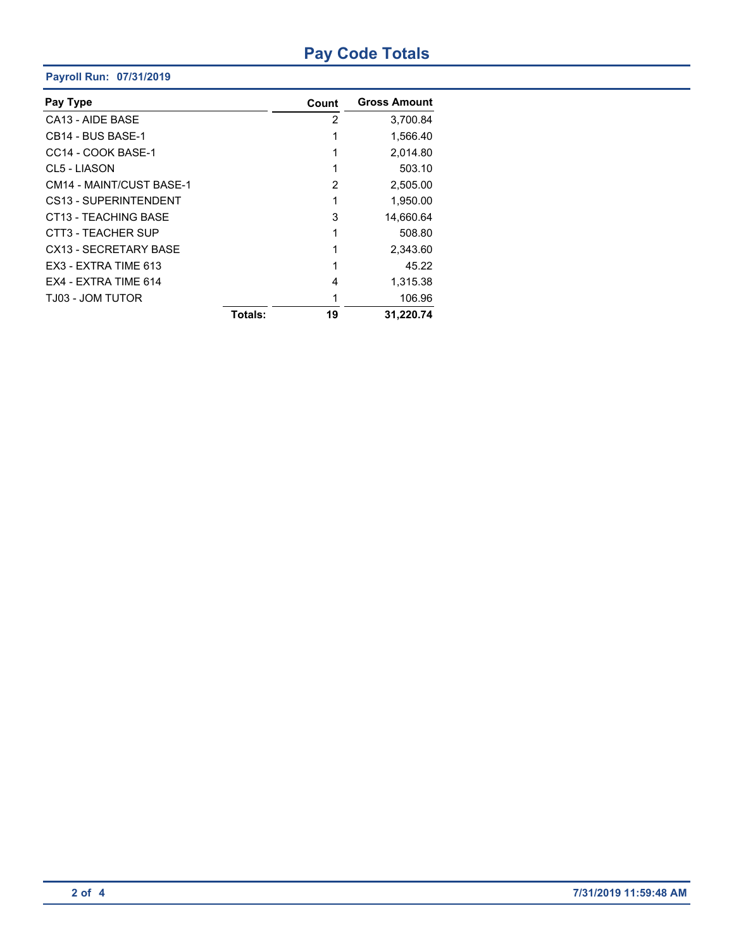# **Pay Code Totals**

#### **Payroll Run: 07/31/2019**

| Pay Type                      |         | Count | <b>Gross Amount</b> |
|-------------------------------|---------|-------|---------------------|
| CA13 - AIDE BASE              |         | 2     | 3.700.84            |
| CB <sub>14</sub> - BUS BASE-1 |         | 1     | 1,566.40            |
| CC14 - COOK BASE-1            |         |       | 2,014.80            |
| CL5 - LIASON                  |         |       | 503.10              |
| CM14 - MAINT/CUST BASE-1      |         | 2     | 2,505.00            |
| CS13 - SUPERINTENDENT         |         |       | 1,950.00            |
| CT13 - TEACHING BASE          |         | 3     | 14,660.64           |
| CTT3 - TEACHER SUP            |         | 1     | 508.80              |
| CX13 - SECRETARY BASE         |         | 1     | 2,343.60            |
| EX3 - EXTRA TIME 613          |         | 1     | 45.22               |
| FX4 - EXTRA TIME 614          |         | 4     | 1,315.38            |
| TJ03 - JOM TUTOR              |         | 1     | 106.96              |
|                               | Totals: | 19    | 31.220.74           |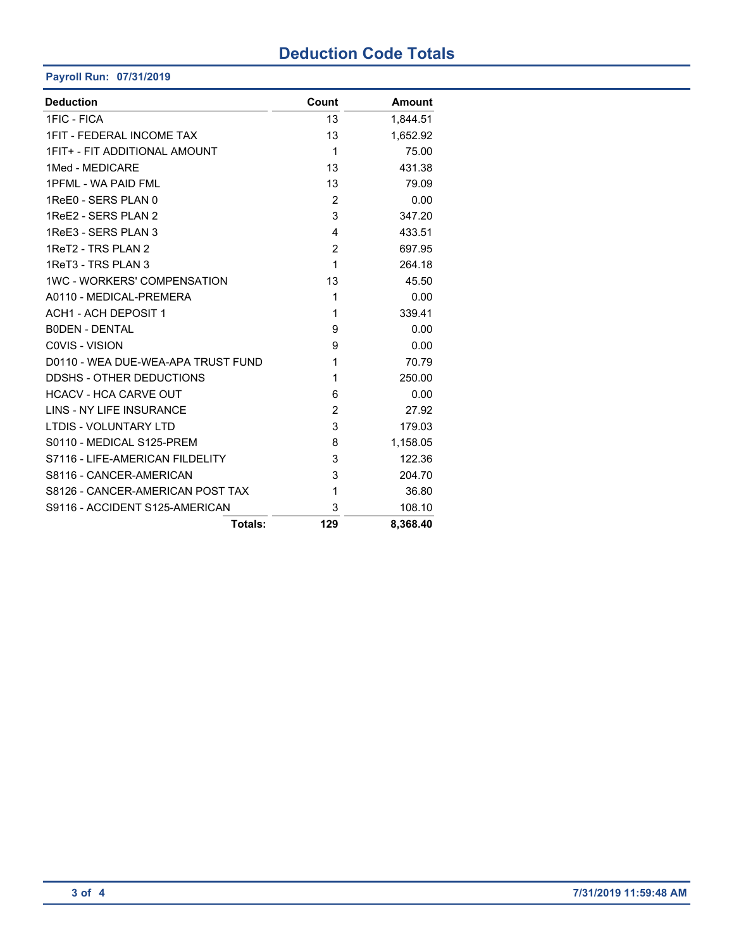## **Deduction Code Totals**

**Payroll Run: 07/31/2019**

| <b>Deduction</b>                   | Count          | <b>Amount</b> |
|------------------------------------|----------------|---------------|
| 1FIC - FICA                        | 13             | 1,844.51      |
| <b>1FIT - FEDERAL INCOME TAX</b>   | 13             | 1,652.92      |
| 1FIT+ - FIT ADDITIONAL AMOUNT      | 1              | 75.00         |
| 1Med - MEDICARE                    | 13             | 431.38        |
| 1PFML - WA PAID FML                | 13             | 79.09         |
| 1ReE0 - SERS PLAN 0                | $\overline{2}$ | 0.00          |
| 1ReE2 - SERS PLAN 2                | 3              | 347.20        |
| 1ReE3 - SERS PLAN 3                | 4              | 433.51        |
| 1ReT2 - TRS PLAN 2                 | 2              | 697.95        |
| 1ReT3 - TRS PLAN 3                 | 1              | 264.18        |
| <b>1WC - WORKERS' COMPENSATION</b> | 13             | 45.50         |
| A0110 - MEDICAL-PREMERA            | 1              | 0.00          |
| <b>ACH1 - ACH DEPOSIT 1</b>        | 1              | 339.41        |
| <b>BODEN - DENTAL</b>              | 9              | 0.00          |
| COVIS - VISION                     | 9              | 0.00          |
| D0110 - WEA DUE-WEA-APA TRUST FUND | 1              | 70.79         |
| DDSHS - OTHER DEDUCTIONS           | 1              | 250.00        |
| <b>HCACV - HCA CARVE OUT</b>       | 6              | 0.00          |
| <b>LINS - NY LIFE INSURANCE</b>    | $\overline{2}$ | 27.92         |
| <b>LTDIS - VOLUNTARY LTD</b>       | 3              | 179.03        |
| S0110 - MEDICAL S125-PREM          | 8              | 1,158.05      |
| S7116 - LIFE-AMERICAN FILDELITY    | 3              | 122.36        |
| S8116 - CANCER-AMERICAN            | 3              | 204.70        |
| S8126 - CANCER-AMERICAN POST TAX   | 1              | 36.80         |
| S9116 - ACCIDENT S125-AMERICAN     | 3              | 108.10        |
| Totals:                            | 129            | 8,368.40      |